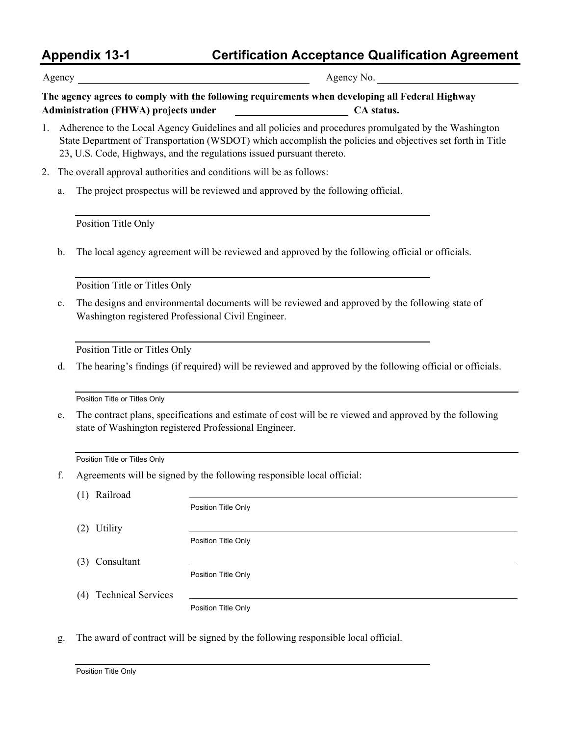## **Appendix 13-1 Certification Acceptance Qualification Agreement**

Agency Agency No.

**The agency agrees to comply with the following requirements when developing all Federal Highway Administration (FHWA) projects under CA status.**

- 1. Adherence to the Local Agency Guidelines and all policies and procedures promulgated by the Washington State Department of Transportation (WSDOT) which accomplish the policies and objectives set forth in Title 23, U.S. Code, Highways, and the regulations issued pursuant thereto.
- 2. The overall approval authorities and conditions will be as follows:
	- a. The project prospectus will be reviewed and approved by the following official.

Position Title Only

b. The local agency agreement will be reviewed and approved by the following official or officials.

Position Title or Titles Only

c. The designs and environmental documents will be reviewed and approved by the following state of Washington registered Professional Civil Engineer.

Position Title or Titles Only

d. The hearing's findings (if required) will be reviewed and approved by the following official or officials.

Position Title or Titles Only

e. The contract plans, specifications and estimate of cost will be re viewed and approved by the following state of Washington registered Professional Engineer.

Position Title or Titles Only

f. Agreements will be signed by the following responsible local official:

(1) Railroad

(2) Utility

Position Title Only

Position Title Only

(3) Consultant

Position Title Only

(4) Technical Services

Position Title Only

g. The award of contract will be signed by the following responsible local official.